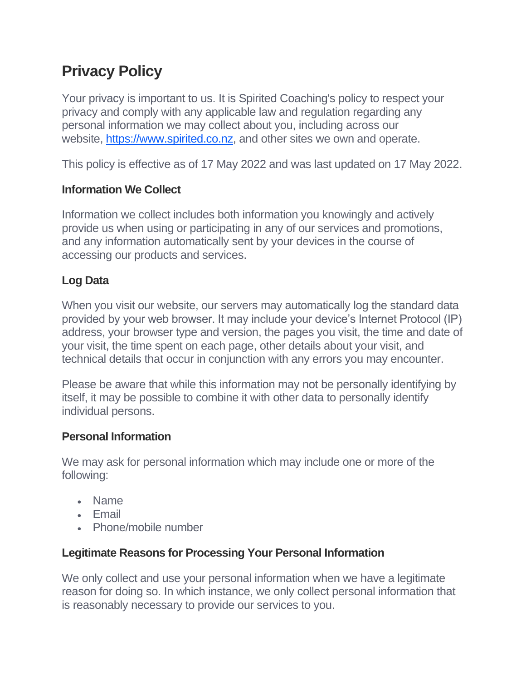# **Privacy Policy**

Your privacy is important to us. It is Spirited Coaching's policy to respect your privacy and comply with any applicable law and regulation regarding any personal information we may collect about you, including across our website, [https://www.spirited.co.nz,](https://www.spirited.co.nz/) and other sites we own and operate.

This policy is effective as of 17 May 2022 and was last updated on 17 May 2022.

## **Information We Collect**

Information we collect includes both information you knowingly and actively provide us when using or participating in any of our services and promotions, and any information automatically sent by your devices in the course of accessing our products and services.

## **Log Data**

When you visit our website, our servers may automatically log the standard data provided by your web browser. It may include your device's Internet Protocol (IP) address, your browser type and version, the pages you visit, the time and date of your visit, the time spent on each page, other details about your visit, and technical details that occur in conjunction with any errors you may encounter.

Please be aware that while this information may not be personally identifying by itself, it may be possible to combine it with other data to personally identify individual persons.

## **Personal Information**

We may ask for personal information which may include one or more of the following:

- Name
- Email
- Phone/mobile number

## **Legitimate Reasons for Processing Your Personal Information**

We only collect and use your personal information when we have a legitimate reason for doing so. In which instance, we only collect personal information that is reasonably necessary to provide our services to you.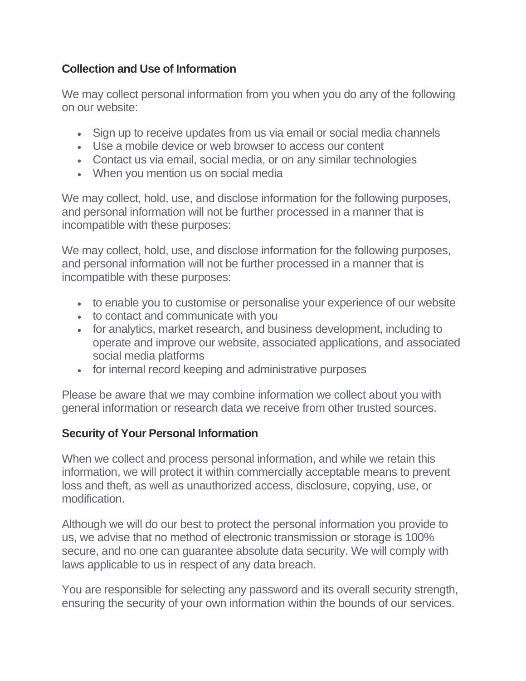## **Collection and Use of Information**

We may collect personal information from you when you do any of the following on our website:

- Sign up to receive updates from us via email or social media channels
- Use a mobile device or web browser to access our content
- Contact us via email, social media, or on any similar technologies
- When you mention us on social media

We may collect, hold, use, and disclose information for the following purposes, and personal information will not be further processed in a manner that is incompatible with these purposes:

We may collect, hold, use, and disclose information for the following purposes, and personal information will not be further processed in a manner that is incompatible with these purposes:

- to enable you to customise or personalise your experience of our website
- to contact and communicate with you
- for analytics, market research, and business development, including to operate and improve our website, associated applications, and associated social media platforms
- for internal record keeping and administrative purposes

Please be aware that we may combine information we collect about you with general information or research data we receive from other trusted sources.

#### **Security of Your Personal Information**

When we collect and process personal information, and while we retain this information, we will protect it within commercially acceptable means to prevent loss and theft, as well as unauthorized access, disclosure, copying, use, or modification.

Although we will do our best to protect the personal information you provide to us, we advise that no method of electronic transmission or storage is 100% secure, and no one can guarantee absolute data security. We will comply with laws applicable to us in respect of any data breach.

You are responsible for selecting any password and its overall security strength, ensuring the security of your own information within the bounds of our services.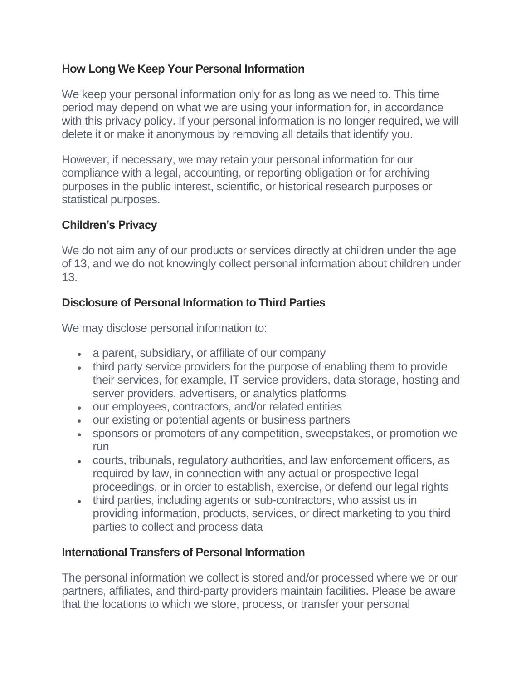#### **How Long We Keep Your Personal Information**

We keep your personal information only for as long as we need to. This time period may depend on what we are using your information for, in accordance with this privacy policy. If your personal information is no longer required, we will delete it or make it anonymous by removing all details that identify you.

However, if necessary, we may retain your personal information for our compliance with a legal, accounting, or reporting obligation or for archiving purposes in the public interest, scientific, or historical research purposes or statistical purposes.

#### **Children's Privacy**

We do not aim any of our products or services directly at children under the age of 13, and we do not knowingly collect personal information about children under 13.

#### **Disclosure of Personal Information to Third Parties**

We may disclose personal information to:

- a parent, subsidiary, or affiliate of our company
- third party service providers for the purpose of enabling them to provide their services, for example, IT service providers, data storage, hosting and server providers, advertisers, or analytics platforms
- our employees, contractors, and/or related entities
- our existing or potential agents or business partners
- sponsors or promoters of any competition, sweepstakes, or promotion we run
- courts, tribunals, regulatory authorities, and law enforcement officers, as required by law, in connection with any actual or prospective legal proceedings, or in order to establish, exercise, or defend our legal rights
- third parties, including agents or sub-contractors, who assist us in providing information, products, services, or direct marketing to you third parties to collect and process data

#### **International Transfers of Personal Information**

The personal information we collect is stored and/or processed where we or our partners, affiliates, and third-party providers maintain facilities. Please be aware that the locations to which we store, process, or transfer your personal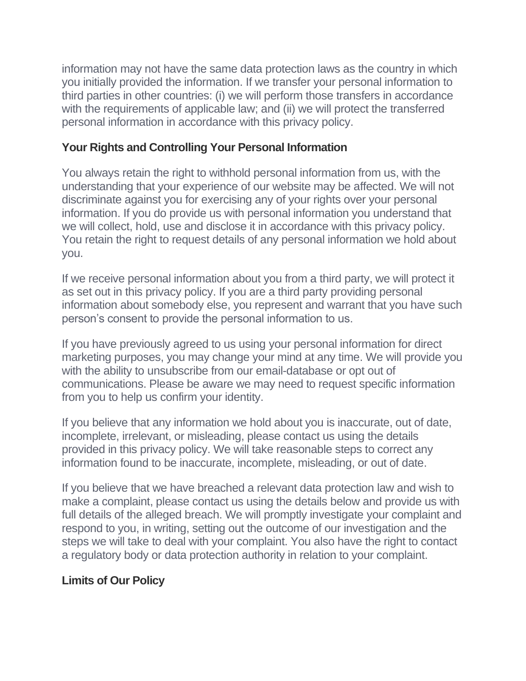information may not have the same data protection laws as the country in which you initially provided the information. If we transfer your personal information to third parties in other countries: (i) we will perform those transfers in accordance with the requirements of applicable law; and (ii) we will protect the transferred personal information in accordance with this privacy policy.

#### **Your Rights and Controlling Your Personal Information**

You always retain the right to withhold personal information from us, with the understanding that your experience of our website may be affected. We will not discriminate against you for exercising any of your rights over your personal information. If you do provide us with personal information you understand that we will collect, hold, use and disclose it in accordance with this privacy policy. You retain the right to request details of any personal information we hold about you.

If we receive personal information about you from a third party, we will protect it as set out in this privacy policy. If you are a third party providing personal information about somebody else, you represent and warrant that you have such person's consent to provide the personal information to us.

If you have previously agreed to us using your personal information for direct marketing purposes, you may change your mind at any time. We will provide you with the ability to unsubscribe from our email-database or opt out of communications. Please be aware we may need to request specific information from you to help us confirm your identity.

If you believe that any information we hold about you is inaccurate, out of date, incomplete, irrelevant, or misleading, please contact us using the details provided in this privacy policy. We will take reasonable steps to correct any information found to be inaccurate, incomplete, misleading, or out of date.

If you believe that we have breached a relevant data protection law and wish to make a complaint, please contact us using the details below and provide us with full details of the alleged breach. We will promptly investigate your complaint and respond to you, in writing, setting out the outcome of our investigation and the steps we will take to deal with your complaint. You also have the right to contact a regulatory body or data protection authority in relation to your complaint.

#### **Limits of Our Policy**